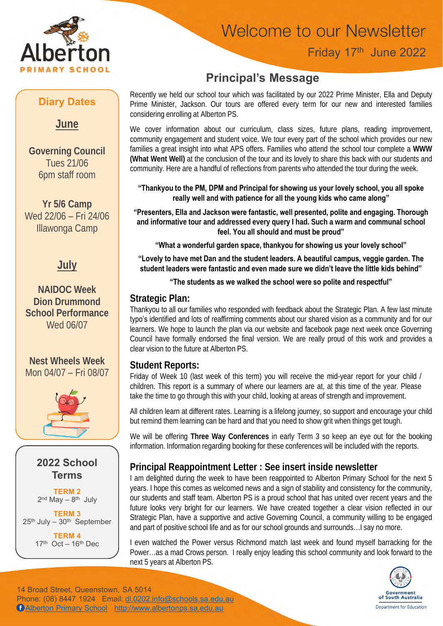

## **Welcome to our Newsletter**

### Friday 17th June 2022

## **Principal's Message**

Recently we held our school tour which was facilitated by our 2022 Prime Minister, Ella and Deputy Prime Minister, Jackson. Our tours are offered every term for our new and interested families considering enrolling at Alberton PS.

We cover information about our curriculum, class sizes, future plans, reading improvement, community engagement and student voice. We tour every part of the school which provides our new families a great insight into what APS offers. Families who attend the school tour complete a **WWW (What Went Well)** at the conclusion of the tour and its lovely to share this back with our students and community. Here are a handful of reflections from parents who attended the tour during the week.

#### **"Thankyou to the PM, DPM and Principal for showing us your lovely school, you all spoke really well and with patience for all the young kids who came along"**

**"Presenters, Ella and Jackson were fantastic, well presented, polite and engaging. Thorough and informative tour and addressed every query I had. Such a warm and communal school feel. You all should and must be proud"**

**"What a wonderful garden space, thankyou for showing us your lovely school"**

**"Lovely to have met Dan and the student leaders. A beautiful campus, veggie garden. The student leaders were fantastic and even made sure we didn't leave the little kids behind"**

#### **"The students as we walked the school were so polite and respectful"**

#### **Strategic Plan:**

Thankyou to all our families who responded with feedback about the Strategic Plan. A few last minute typo's identified and lots of reaffirming comments about our shared vision as a community and for our learners. We hope to launch the plan via our website and facebook page next week once Governing Council have formally endorsed the final version. We are really proud of this work and provides a clear vision to the future at Alberton PS.

#### **Student Reports:**

Friday of Week 10 (last week of this term) you will receive the mid-year report for your child / children. This report is a summary of where our learners are at, at this time of the year. Please take the time to go through this with your child, looking at areas of strength and improvement.

All children learn at different rates. Learning is a lifelong journey, so support and encourage your child but remind them learning can be hard and that you need to show grit when things get tough.

We will be offering **Three Way Conferences** in early Term 3 so keep an eye out for the booking information. Information regarding booking for these conferences will be included with the reports.

#### **Principal Reappointment Letter : See insert inside newsletter**

I am delighted during the week to have been reappointed to Alberton Primary School for the next 5 years. I hope this comes as welcomed news and a sign of stability and consistency for the community, our students and staff team. Alberton PS is a proud school that has united over recent years and the future looks very bright for our learners. We have created together a clear vision reflected in our Strategic Plan, have a supportive and active Governing Council, a community willing to be engaged and part of positive school life and as for our school grounds and surrounds…I say no more.

I even watched the Power versus Richmond match last week and found myself barracking for the Power…as a mad Crows person. I really enjoy leading this school community and look forward to the next 5 years at Alberton PS.



14 Broad Street, Queenstown, SA 5014 Phone: (08) 8447 1924 Email: [dl.0202.info@schools.sa.edu.au](mailto:dl.0202.info@schools.sa.edu.au) [Alberton Primary School](https://www.facebook.com/Alberton-Primary-School-702081429902529) [http://www.albertonps.sa.edu.au](http://www.albertonps.sa.edu.au/)

#### **Diary Dates**

**June**

**Governing Council** Tues 21/06 6pm staff room

**Yr 5/6 Camp** Wed 22/06 – Fri 24/06 Illawonga Camp

#### **July**

**NAIDOC Week Dion Drummond School Performance** Wed 06/07

**Nest Wheels Week** Mon 04/07 – Fri 08/07





**TERM 2** 2<sup>nd</sup> May – 8<sup>th</sup> July

**TERM 3**  $25<sup>th</sup>$  July –  $30<sup>th</sup>$  September **TERM 4**

 $17<sup>th</sup>$  Oct –  $16<sup>th</sup>$  Dec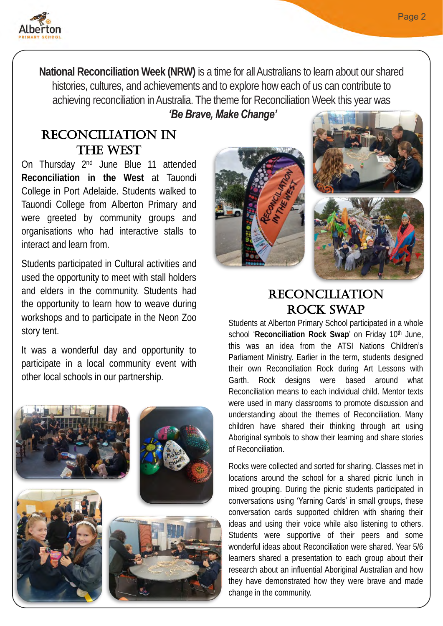

**National Reconciliation Week (NRW)** is a time for all Australians to learn about our shared histories, cultures, and achievements and to explore how each of us can contribute to achieving reconciliation in Australia. The theme for Reconciliation Week this year was

#### *'Be Brave, Make Change'*

#### Reconciliation in the West

On Thursday 2<sup>nd</sup> June Blue 11 attended **Reconciliation in the West** at Tauondi College in Port Adelaide. Students walked to Tauondi College from Alberton Primary and were greeted by community groups and organisations who had interactive stalls to interact and learn from.

Students participated in Cultural activities and used the opportunity to meet with stall holders and elders in the community. Students had the opportunity to learn how to weave during workshops and to participate in the Neon Zoo story tent.

It was a wonderful day and opportunity to participate in a local community event with other local schools in our partnership.







## **RECONCILIATION** Rock Swap

Students at Alberton Primary School participated in a whole school '**Reconciliation Rock Swap**' on Friday 10th June, this was an idea from the ATSI Nations Children's Parliament Ministry. Earlier in the term, students designed their own Reconciliation Rock during Art Lessons with Garth. Rock designs were based around what Reconciliation means to each individual child. Mentor texts were used in many classrooms to promote discussion and understanding about the themes of Reconciliation. Many children have shared their thinking through art using Aboriginal symbols to show their learning and share stories of Reconciliation.

Rocks were collected and sorted for sharing. Classes met in locations around the school for a shared picnic lunch in mixed grouping. During the picnic students participated in conversations using 'Yarning Cards' in small groups, these conversation cards supported children with sharing their ideas and using their voice while also listening to others. Students were supportive of their peers and some wonderful ideas about Reconciliation were shared. Year 5/6 learners shared a presentation to each group about their research about an influential Aboriginal Australian and how they have demonstrated how they were brave and made change in the community.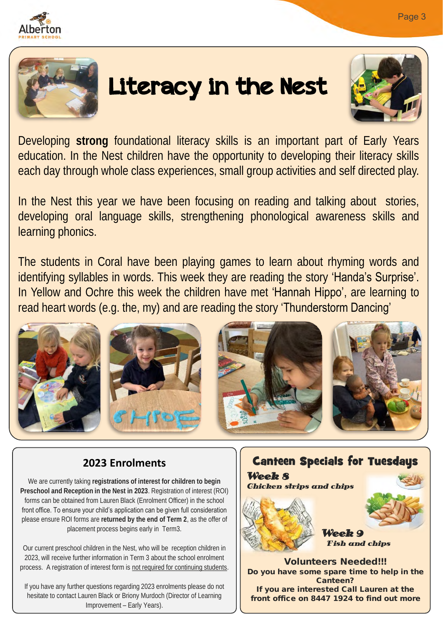

# Literacy in the Nest



Developing **strong** foundational literacy skills is an important part of Early Years education. In the Nest children have the opportunity to developing their literacy skills each day through whole class experiences, small group activities and self directed play.

In the Nest this year we have been focusing on reading and talking about stories, developing oral language skills, strengthening phonological awareness skills and learning phonics.

The students in Coral have been playing games to learn about rhyming words and identifying syllables in words. This week they are reading the story 'Handa's Surprise'. In Yellow and Ochre this week the children have met 'Hannah Hippo', are learning to read heart words (e.g. the, my) and are reading the story 'Thunderstorm Dancing'



#### **2023 Enrolments**

We are currently taking **registrations of interest for children to begin Preschool and Reception in the Nest in 2023**. Registration of interest (ROI) forms can be obtained from Lauren Black (Enrolment Officer) in the school front office. To ensure your child's application can be given full consideration please ensure ROI forms are **returned by the end of Term 2**, as the offer of placement process begins early in Term3.

Our current preschool children in the Nest, who will be reception children in 2023, will receive further information in Term 3 about the school enrolment process. A registration of interest form is not required for continuing students.

If you have any further questions regarding 2023 enrolments please do not hesitate to contact Lauren Black or Briony Murdoch (Director of Learning Improvement – Early Years).



If you are interested Call Lauren at the front office on 8447 1924 to find out more